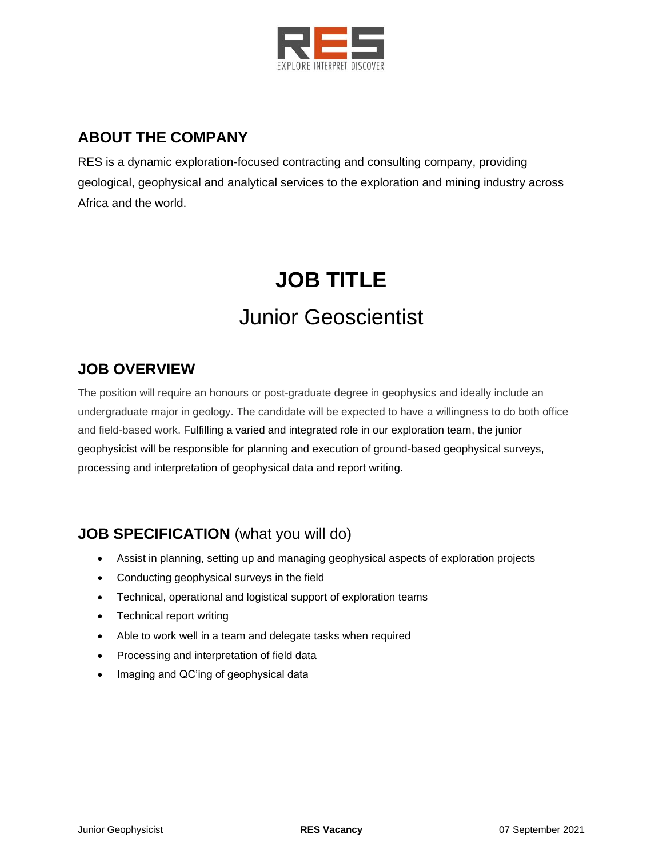

# **ABOUT THE COMPANY**

RES is a dynamic exploration-focused contracting and consulting company, providing geological, geophysical and analytical services to the exploration and mining industry across Africa and the world.

# **JOB TITLE** Junior Geoscientist

### **JOB OVERVIEW**

The position will require an honours or post-graduate degree in geophysics and ideally include an undergraduate major in geology. The candidate will be expected to have a willingness to do both office and field-based work. Fulfilling a varied and integrated role in our exploration team, the junior geophysicist will be responsible for planning and execution of ground-based geophysical surveys, processing and interpretation of geophysical data and report writing.

## **JOB SPECIFICATION** (what you will do)

- Assist in planning, setting up and managing geophysical aspects of exploration projects
- Conducting geophysical surveys in the field
- Technical, operational and logistical support of exploration teams
- Technical report writing
- Able to work well in a team and delegate tasks when required
- Processing and interpretation of field data
- Imaging and QC'ing of geophysical data